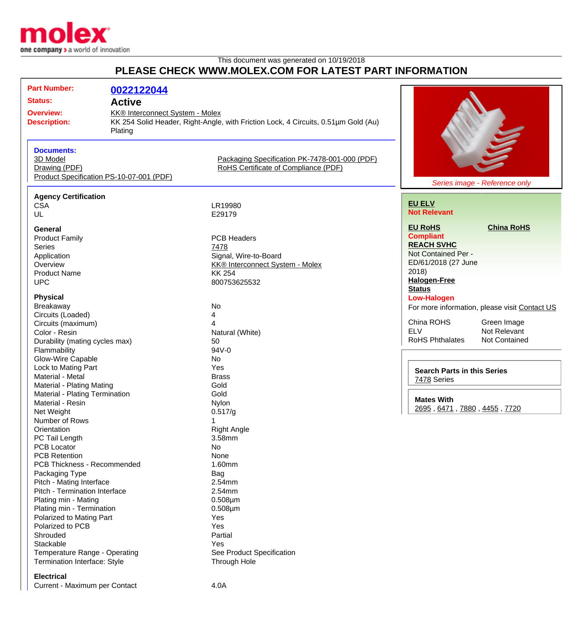

## This document was generated on 10/19/2018 **PLEASE CHECK WWW.MOLEX.COM FOR LATEST PART INFORMATION**

| <b>Part Number:</b><br><b>Status:</b><br><b>Overview:</b><br><b>Description:</b>                                                                                                                                                                                                                                                                                                                           | 0022122044<br><b>Active</b><br><b>KK® Interconnect System - Molex</b><br>KK 254 Solid Header, Right-Angle, with Friction Lock, 4 Circuits, 0.51um Gold (Au)<br>Plating |                                                                                                                                                                                                |                                                                                                                                                           |
|------------------------------------------------------------------------------------------------------------------------------------------------------------------------------------------------------------------------------------------------------------------------------------------------------------------------------------------------------------------------------------------------------------|------------------------------------------------------------------------------------------------------------------------------------------------------------------------|------------------------------------------------------------------------------------------------------------------------------------------------------------------------------------------------|-----------------------------------------------------------------------------------------------------------------------------------------------------------|
| <b>Documents:</b><br>3D Model<br>Drawing (PDF)                                                                                                                                                                                                                                                                                                                                                             | Product Specification PS-10-07-001 (PDF)                                                                                                                               | Packaging Specification PK-7478-001-000 (PDF)<br>RoHS Certificate of Compliance (PDF)                                                                                                          | Series image - Reference only                                                                                                                             |
| <b>Agency Certification</b>                                                                                                                                                                                                                                                                                                                                                                                |                                                                                                                                                                        |                                                                                                                                                                                                |                                                                                                                                                           |
| <b>CSA</b><br>UL                                                                                                                                                                                                                                                                                                                                                                                           |                                                                                                                                                                        | LR19980<br>E29179                                                                                                                                                                              | <b>EU ELV</b><br><b>Not Relevant</b>                                                                                                                      |
| General<br><b>Product Family</b><br><b>Series</b><br>Application<br>Overview<br><b>Product Name</b><br><b>UPC</b>                                                                                                                                                                                                                                                                                          |                                                                                                                                                                        | <b>PCB Headers</b><br>7478<br>Signal, Wire-to-Board<br><b>KK® Interconnect System - Molex</b><br><b>KK 254</b><br>800753625532                                                                 | <b>EU RoHS</b><br><b>China RoHS</b><br><b>Compliant</b><br><b>REACH SVHC</b><br>Not Contained Per -<br>ED/61/2018 (27 June<br>2018<br><b>Halogen-Free</b> |
| <b>Physical</b>                                                                                                                                                                                                                                                                                                                                                                                            |                                                                                                                                                                        |                                                                                                                                                                                                | <b>Status</b><br><b>Low-Halogen</b>                                                                                                                       |
| Breakaway<br>Circuits (Loaded)<br>Circuits (maximum)<br>Color - Resin<br>Durability (mating cycles max)<br>Flammability                                                                                                                                                                                                                                                                                    |                                                                                                                                                                        | No<br>4<br>Natural (White)<br>50<br>94V-0                                                                                                                                                      | For more information, please visit Contact US<br>China ROHS<br>Green Image<br><b>ELV</b><br>Not Relevant<br><b>RoHS Phthalates</b><br>Not Contained       |
| Glow-Wire Capable<br>Lock to Mating Part<br>Material - Metal<br>Material - Plating Mating                                                                                                                                                                                                                                                                                                                  |                                                                                                                                                                        | No<br>Yes<br><b>Brass</b><br>Gold                                                                                                                                                              | <b>Search Parts in this Series</b><br>7478 Series                                                                                                         |
| Material - Plating Termination<br>Material - Resin<br>Net Weight                                                                                                                                                                                                                                                                                                                                           |                                                                                                                                                                        | Gold<br>Nylon<br>0.517/g                                                                                                                                                                       | <b>Mates With</b><br>2695, 6471, 7880, 4455, 7720                                                                                                         |
| Number of Rows<br>Orientation<br>PC Tail Length<br><b>PCB Locator</b><br><b>PCB Retention</b><br>PCB Thickness - Recommended<br>Packaging Type<br>Pitch - Mating Interface<br>Pitch - Termination Interface<br>Plating min - Mating<br>Plating min - Termination<br>Polarized to Mating Part<br>Polarized to PCB<br>Shrouded<br>Stackable<br>Temperature Range - Operating<br>Termination Interface: Style |                                                                                                                                                                        | <b>Right Angle</b><br>3.58mm<br>No<br>None<br>1.60mm<br>Bag<br>2.54mm<br>2.54mm<br>$0.508 \mu m$<br>$0.508 \mu m$<br>Yes<br>Yes<br>Partial<br>Yes<br>See Product Specification<br>Through Hole |                                                                                                                                                           |

## **Electrical**

Current - Maximum per Contact 4.0A